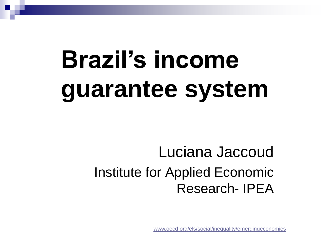#### **Brazil's incom guarantee syst Brazil's income guarantee system**

Luciana Jaccoud Institute for Applied Economic Research- IPEA

[www.oecd.org/els/social/inequality/emergingeconomies](http://www.oecd.org/els/social/inequality/emergingeconomies)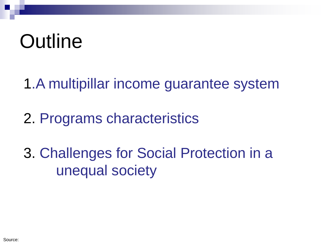## **Outline**

1.A multipillar income guarantee system

2. Programs characteristics

3. Challenges for Social Protection in a unequal society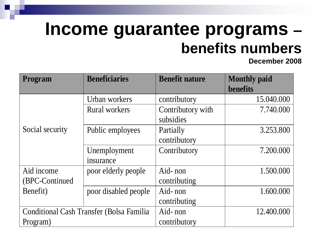### **Income guarantee programs – benefits numbers**

**December 2008**

| <b>Program</b>                                   | <b>Beneficiaries</b> | <b>Benefit nature</b> | <b>Monthly paid</b><br>benefits |
|--------------------------------------------------|----------------------|-----------------------|---------------------------------|
|                                                  | Urban workers        | contributory          | 15.040.000                      |
|                                                  | <b>Rural workers</b> | Contributory with     | 7.740.000                       |
|                                                  |                      | subsidies             |                                 |
| Social security                                  | Public employees     | Partially             | 3.253.800                       |
|                                                  |                      | contributory          |                                 |
|                                                  | Unemployment         | Contributory          | 7.200.000                       |
|                                                  | insurance            |                       |                                 |
| Aid income                                       | poor elderly people  | Aid-non               | 1.500.000                       |
| (BPC-Continued)                                  |                      | contributing          |                                 |
| Benefit)                                         | poor disabled people | Aid-non               | 1.600.000                       |
|                                                  |                      | contributing          |                                 |
| <b>Conditional Cash Transfer (Bolsa Familia)</b> |                      | Aid-non               | 12.400.000                      |
| Program)                                         |                      | contributory          |                                 |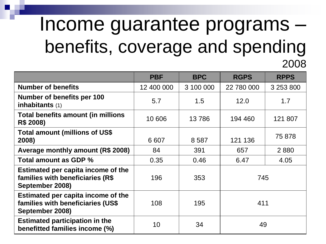### Income guarantee programs – benefits, coverage and spending 2008

|                                                                                            | <b>PBF</b> | <b>BPC</b> | <b>RGPS</b> | <b>RPPS</b> |
|--------------------------------------------------------------------------------------------|------------|------------|-------------|-------------|
| <b>Number of benefits</b>                                                                  | 12 400 000 | 3 100 000  | 22 780 000  | 3 253 800   |
| Number of benefits per 100<br>inhabitants $(1)$                                            | 5.7        | 1.5        | 12.0        | 1.7         |
| <b>Total benefits amount (in millions</b><br>R\$ 2008)                                     | 10 606     | 13786      | 194 460     | 121 807     |
| <b>Total amount (millions of US\$</b><br>2008)                                             | 6 607      | 8587       | 121 136     | 75 878      |
| Average monthly amount (R\$ 2008)                                                          | 84         | 391        | 657         | 2880        |
| Total amount as GDP %                                                                      | 0.35       | 0.46       | 6.47        | 4.05        |
| Estimated per capita income of the<br>families with beneficiaries (R\$<br>September 2008)  | 196        | 353        | 745         |             |
| Estimated per capita income of the<br>families with beneficiaries (US\$<br>September 2008) | 108        | 195        | 411         |             |
| <b>Estimated participation in the</b><br>benefitted families income (%)                    | 10         | 34         | 49          |             |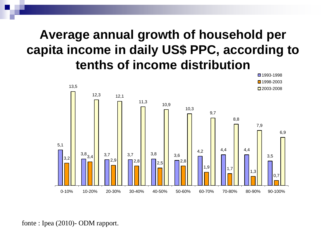#### **Average annual growth of household per capita income in daily US\$ PPC, according to tenths of income distribution**



fonte : Ipea (2010)- ODM rapport.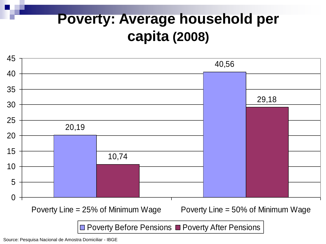#### **Poverty: Average household per capita (2008)**

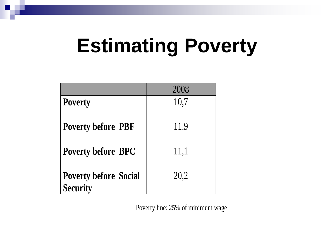## **Estimating Poverty**

|                                                 | 2008 |
|-------------------------------------------------|------|
| <b>Poverty</b>                                  | 10,7 |
| <b>Poverty before PBF</b>                       | 11,9 |
| <b>Poverty before BPC</b>                       | 11,1 |
| <b>Poverty before Social</b><br><b>Security</b> | 20,2 |

Poverty line: 25% of minimum wage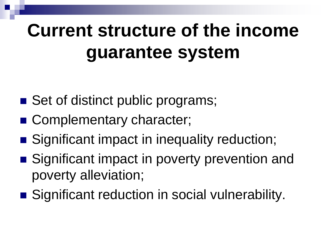### **Current structure of the income guarantee system**

- Set of distinct public programs;
- Complementary character;
- Significant impact in inequality reduction;
- Significant impact in poverty prevention and poverty alleviation;
- Significant reduction in social vulnerability.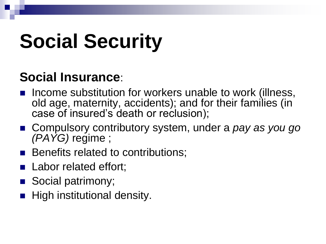# **Social Security**

#### **Social Insurance**:

- Income substitution for workers unable to work (illness, old age, maternity, accidents); and for their families (in case of insured's death or reclusion);
- Compulsory contributory system, under a *pay as you go (PAYG)* regime ;
- Benefits related to contributions;
- Labor related effort;
- Social patrimony;
- $\blacksquare$  High institutional density.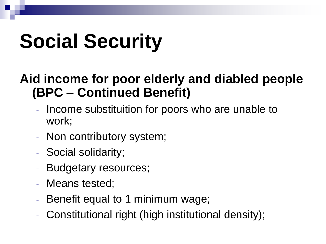# **Social Security**

#### **Aid income for poor elderly and diabled people (BPC – Continued Benefit)**

- Income substituition for poors who are unable to work;
- Non contributory system;
- Social solidarity;
- Budgetary resources;
- Means tested;
- Benefit equal to 1 minimum wage;
- Constitutional right (high institutional density);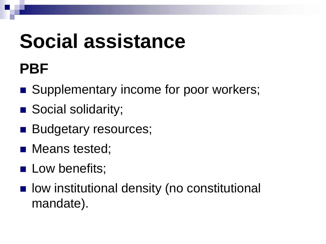# **Social assistance**

### **PBF**

- Supplementary income for poor workers;
- Social solidarity;
- **Budgetary resources;**
- Means tested;
- **Low benefits;**
- **n** low institutional density (no constitutional mandate).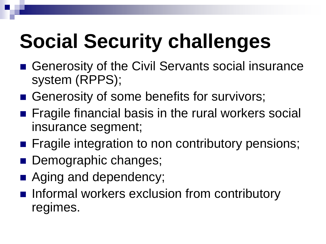# **Social Security challenges**

- Generosity of the Civil Servants social insurance system (RPPS);
- Generosity of some benefits for survivors;
- **Fiagile financial basis in the rural workers social** insurance segment;
- **Fiagile integration to non contributory pensions;**
- **Demographic changes;**
- Aging and dependency;
- **Informal workers exclusion from contributory** regimes.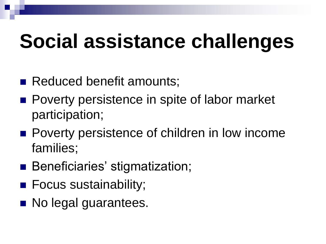# **Social assistance challenges**

- Reduced benefit amounts;
- **Poverty persistence in spite of labor market** participation;
- **Poverty persistence of children in low income** families;
- Beneficiaries' stigmatization;
- Focus sustainability;
- No legal guarantees.